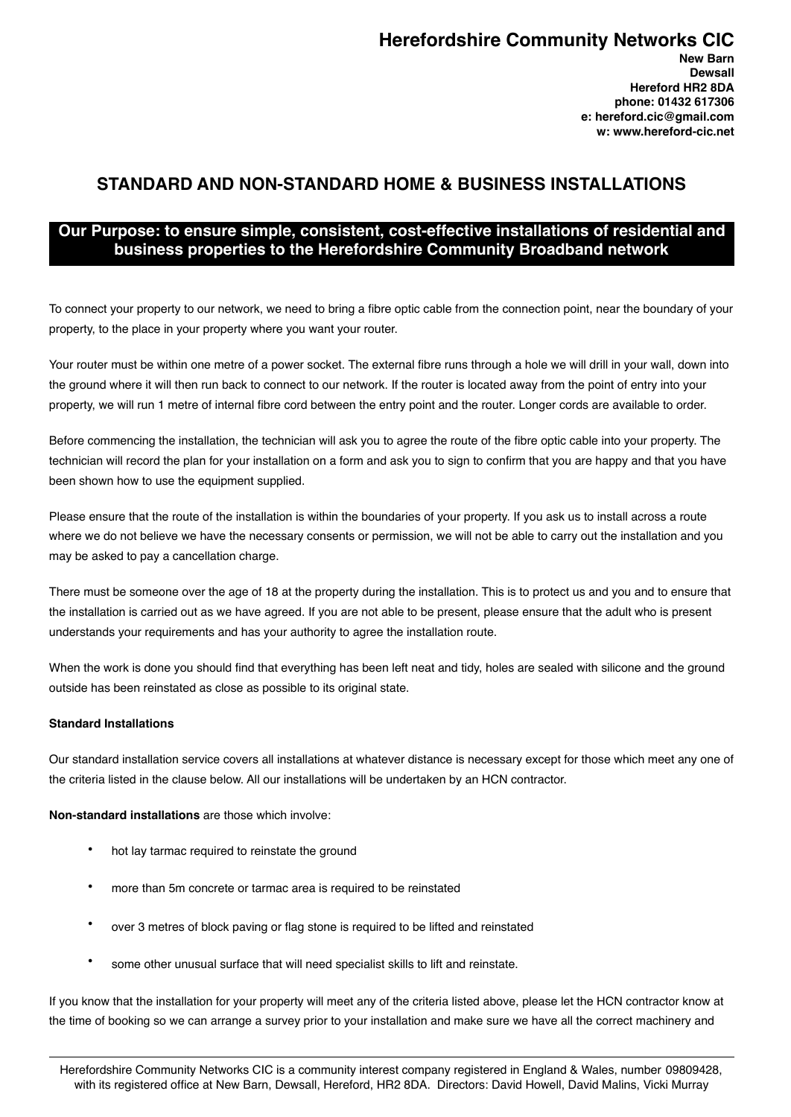# **Herefordshire Community Networks CIC**

**New Barn Dewsall Hereford HR2 8DA phone: 01432 617306 e: hereford.cic@gmail.com w: www.hereford-cic.net**

## **STANDARD AND NON-STANDARD HOME & BUSINESS INSTALLATIONS**

### **Our Purpose: to ensure simple, consistent, cost-effective installations of residential and business properties to the Herefordshire Community Broadband network**

To connect your property to our network, we need to bring a fibre optic cable from the connection point, near the boundary of your property, to the place in your property where you want your router.

Your router must be within one metre of a power socket. The external fibre runs through a hole we will drill in your wall, down into the ground where it will then run back to connect to our network. If the router is located away from the point of entry into your property, we will run 1 metre of internal fibre cord between the entry point and the router. Longer cords are available to order.

Before commencing the installation, the technician will ask you to agree the route of the fibre optic cable into your property. The technician will record the plan for your installation on a form and ask you to sign to confirm that you are happy and that you have been shown how to use the equipment supplied.

Please ensure that the route of the installation is within the boundaries of your property. If you ask us to install across a route where we do not believe we have the necessary consents or permission, we will not be able to carry out the installation and you may be asked to pay a cancellation charge.

There must be someone over the age of 18 at the property during the installation. This is to protect us and you and to ensure that the installation is carried out as we have agreed. If you are not able to be present, please ensure that the adult who is present understands your requirements and has your authority to agree the installation route.

When the work is done you should find that everything has been left neat and tidy, holes are sealed with silicone and the ground outside has been reinstated as close as possible to its original state.

#### **Standard Installations**

Our standard installation service covers all installations at whatever distance is necessary except for those which meet any one of the criteria listed in the clause below. All our installations will be undertaken by an HCN contractor.

**Non-standard installations** are those which involve:

- hot lay tarmac required to reinstate the ground
- more than 5m concrete or tarmac area is required to be reinstated
- over 3 metres of block paving or flag stone is required to be lifted and reinstated
- some other unusual surface that will need specialist skills to lift and reinstate.

If you know that the installation for your property will meet any of the criteria listed above, please let the HCN contractor know at the time of booking so we can arrange a survey prior to your installation and make sure we have all the correct machinery and